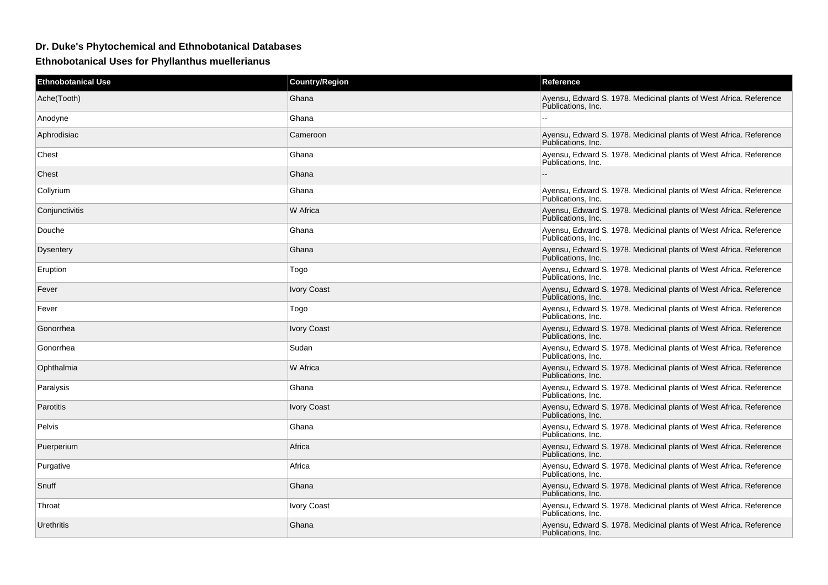## **Dr. Duke's Phytochemical and Ethnobotanical Databases**

**Ethnobotanical Uses for Phyllanthus muellerianus**

| <b>Ethnobotanical Use</b> | <b>Country/Region</b> | Reference                                                                                |
|---------------------------|-----------------------|------------------------------------------------------------------------------------------|
| Ache(Tooth)               | Ghana                 | Ayensu, Edward S. 1978. Medicinal plants of West Africa. Reference<br>Publications. Inc. |
| Anodyne                   | Ghana                 |                                                                                          |
| Aphrodisiac               | Cameroon              | Ayensu, Edward S. 1978. Medicinal plants of West Africa. Reference<br>Publications, Inc. |
| Chest                     | Ghana                 | Ayensu, Edward S. 1978. Medicinal plants of West Africa. Reference<br>Publications. Inc. |
| Chest                     | Ghana                 |                                                                                          |
| Collyrium                 | Ghana                 | Ayensu, Edward S. 1978. Medicinal plants of West Africa. Reference<br>Publications, Inc. |
| Conjunctivitis            | W Africa              | Ayensu, Edward S. 1978. Medicinal plants of West Africa. Reference<br>Publications, Inc. |
| Douche                    | Ghana                 | Ayensu, Edward S. 1978. Medicinal plants of West Africa. Reference<br>Publications. Inc. |
| <b>Dysentery</b>          | Ghana                 | Ayensu, Edward S. 1978. Medicinal plants of West Africa. Reference<br>Publications. Inc. |
| Eruption                  | Togo                  | Ayensu, Edward S. 1978. Medicinal plants of West Africa. Reference<br>Publications, Inc. |
| Fever                     | <b>Ivory Coast</b>    | Ayensu, Edward S. 1978. Medicinal plants of West Africa. Reference<br>Publications, Inc. |
| Fever                     | Togo                  | Ayensu, Edward S. 1978. Medicinal plants of West Africa. Reference<br>Publications, Inc. |
| Gonorrhea                 | <b>Ivory Coast</b>    | Ayensu, Edward S. 1978. Medicinal plants of West Africa. Reference<br>Publications, Inc. |
| Gonorrhea                 | Sudan                 | Ayensu, Edward S. 1978. Medicinal plants of West Africa. Reference<br>Publications, Inc. |
| Ophthalmia                | W Africa              | Ayensu, Edward S. 1978. Medicinal plants of West Africa. Reference<br>Publications, Inc. |
| Paralysis                 | Ghana                 | Ayensu, Edward S. 1978. Medicinal plants of West Africa. Reference<br>Publications, Inc. |
| Parotitis                 | <b>Ivory Coast</b>    | Ayensu, Edward S. 1978. Medicinal plants of West Africa. Reference<br>Publications, Inc. |
| <b>Pelvis</b>             | Ghana                 | Ayensu, Edward S. 1978. Medicinal plants of West Africa. Reference<br>Publications. Inc. |
| Puerperium                | Africa                | Ayensu, Edward S. 1978. Medicinal plants of West Africa. Reference<br>Publications, Inc. |
| Purgative                 | Africa                | Ayensu, Edward S. 1978. Medicinal plants of West Africa. Reference<br>Publications. Inc. |
| Snuff                     | Ghana                 | Ayensu, Edward S. 1978. Medicinal plants of West Africa. Reference<br>Publications, Inc. |
| Throat                    | <b>Ivory Coast</b>    | Ayensu, Edward S. 1978. Medicinal plants of West Africa. Reference<br>Publications, Inc. |
| Urethritis                | Ghana                 | Ayensu, Edward S. 1978. Medicinal plants of West Africa. Reference<br>Publications, Inc. |